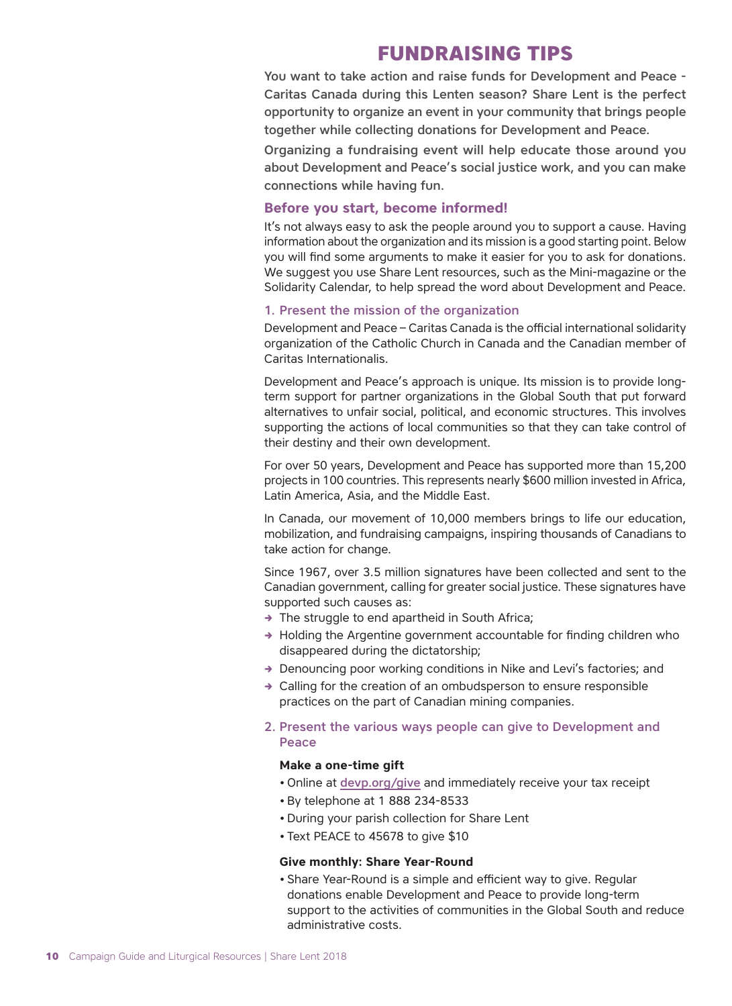# **FUNDRAISING TIPS**

You want to take action and raise funds for Development and Peace - Caritas Canada during this Lenten season? Share Lent is the perfect opportunity to organize an event in your community that brings people together while collecting donations for Development and Peace.

Organizing a fundraising event will help educate those around you about Development and Peace's social justice work, and you can make connections while having fun.

# **Before you start, become informed!**

It's not always easy to ask the people around you to support a cause. Having information about the organization and its mission is a good starting point. Below you will find some arguments to make it easier for you to ask for donations. We suggest you use Share Lent resources, such as the Mini-magazine or the Solidarity Calendar, to help spread the word about Development and Peace.

### 1. Present the mission of the organization

Development and Peace – Caritas Canada is the official international solidarity organization of the Catholic Church in Canada and the Canadian member of Caritas Internationalis.

Development and Peace's approach is unique. Its mission is to provide longterm support for partner organizations in the Global South that put forward alternatives to unfair social, political, and economic structures. This involves supporting the actions of local communities so that they can take control of their destiny and their own development.

For over 50 years, Development and Peace has supported more than 15,200 projects in 100 countries. This represents nearly \$600 million invested in Africa, Latin America, Asia, and the Middle East.

In Canada, our movement of 10,000 members brings to life our education, mobilization, and fundraising campaigns, inspiring thousands of Canadians to take action for change.

Since 1967, over 3.5 million signatures have been collected and sent to the Canadian government, calling for greater social justice. These signatures have supported such causes as:

- $\rightarrow$  The struggle to end apartheid in South Africa;
- $\rightarrow$  Holding the Argentine government accountable for finding children who disappeared during the dictatorship;
- $\rightarrow$  Denouncing poor working conditions in Nike and Levi's factories; and
- $\rightarrow$  Calling for the creation of an ombudsperson to ensure responsible practices on the part of Canadian mining companies.
- 2. Present the various ways people can give to Development and Peace

#### **Make a one-time gift**

- Online at [devp.org/give](http://www.devp.org/give) and immediately receive your tax receipt
- By telephone at 1 888 234-8533
- During your parish collection for Share Lent
- Text PEACE to 45678 to give \$10

#### **Give monthly: Share Year-Round**

• Share Year-Round is a simple and efficient way to give. Regular donations enable Development and Peace to provide long-term support to the activities of communities in the Global South and reduce administrative costs.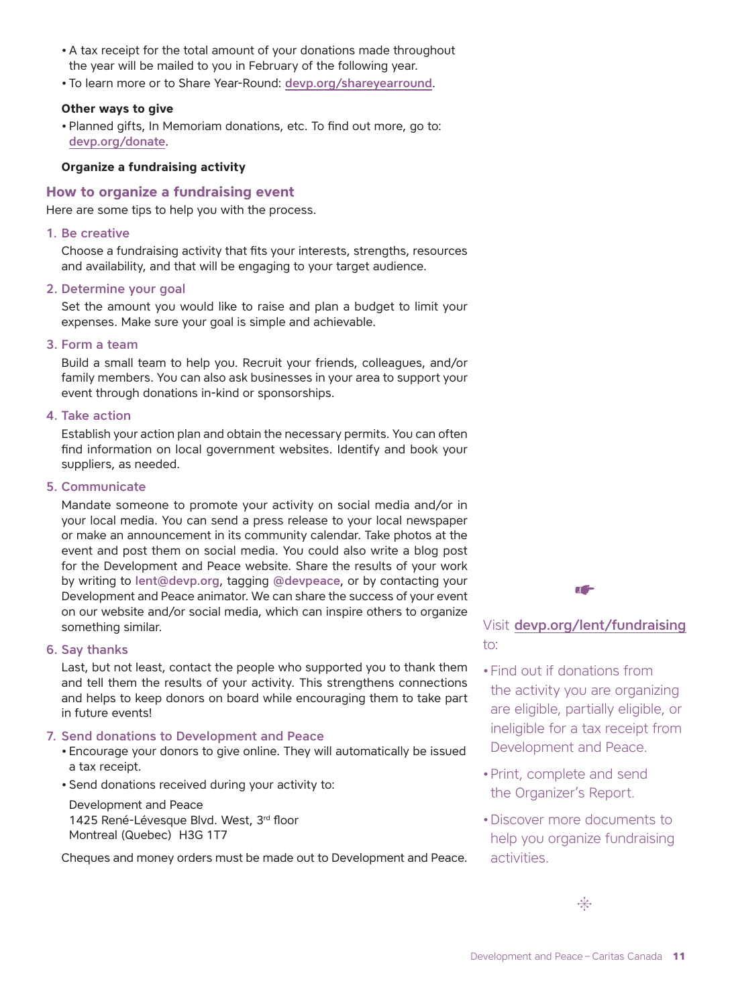- A tax receipt for the total amount of your donations made throughout the year will be mailed to you in February of the following year.
- To learn more or to Share Year-Round: [devp.org/shareyearround](http://www.devp.org/shareyearround).

## **Other ways to give**

• Planned gifts, In Memoriam donations, etc. To find out more, go to: [devp.org/donate](http://www.devp.org/donate).

## **Organize a fundraising activity**

# **How to organize a fundraising event**

Here are some tips to help you with the process.

#### 1. Be creative

Choose a fundraising activity that fits your interests, strengths, resources and availability, and that will be engaging to your target audience.

#### 2. Determine your goal

Set the amount you would like to raise and plan a budget to limit your expenses. Make sure your goal is simple and achievable.

#### 3. Form a team

Build a small team to help you. Recruit your friends, colleagues, and/or family members. You can also ask businesses in your area to support your event through donations in-kind or sponsorships.

#### 4. Take action

Establish your action plan and obtain the necessary permits. You can often find information on local government websites. Identify and book your suppliers, as needed.

#### 5. Communicate

Mandate someone to promote your activity on social media and/or in your local media. You can send a press release to your local newspaper or make an announcement in its community calendar. Take photos at the event and post them on social media. You could also write a blog post for the Development and Peace website. Share the results of your work by writing to lent@devp.org, tagging @devpeace, or by contacting your Development and Peace animator. We can share the success of your event on our website and/or social media, which can inspire others to organize something similar.

#### 6. Say thanks

Last, but not least, contact the people who supported you to thank them and tell them the results of your activity. This strengthens connections and helps to keep donors on board while encouraging them to take part in future events!

#### 7. Send donations to Development and Peace

- Encourage your donors to give online. They will automatically be issued a tax receipt.
- Send donations received during your activity to:

Development and Peace 1425 René-Lévesque Blvd. West, 3rd floor Montreal (Quebec) H3G 1T7

Cheques and money orders must be made out to Development and Peace.



Visit [devp.org/lent/fundraising](http://www.devp.org/lent/fundrai-sing) to:

- •Find out if donations from the activity you are organizing are eligible, partially eligible, or ineligible for a tax receipt from Development and Peace.
- •Print, complete and send the Organizer's Report.
- •Discover more documents to help you organize fundraising activities.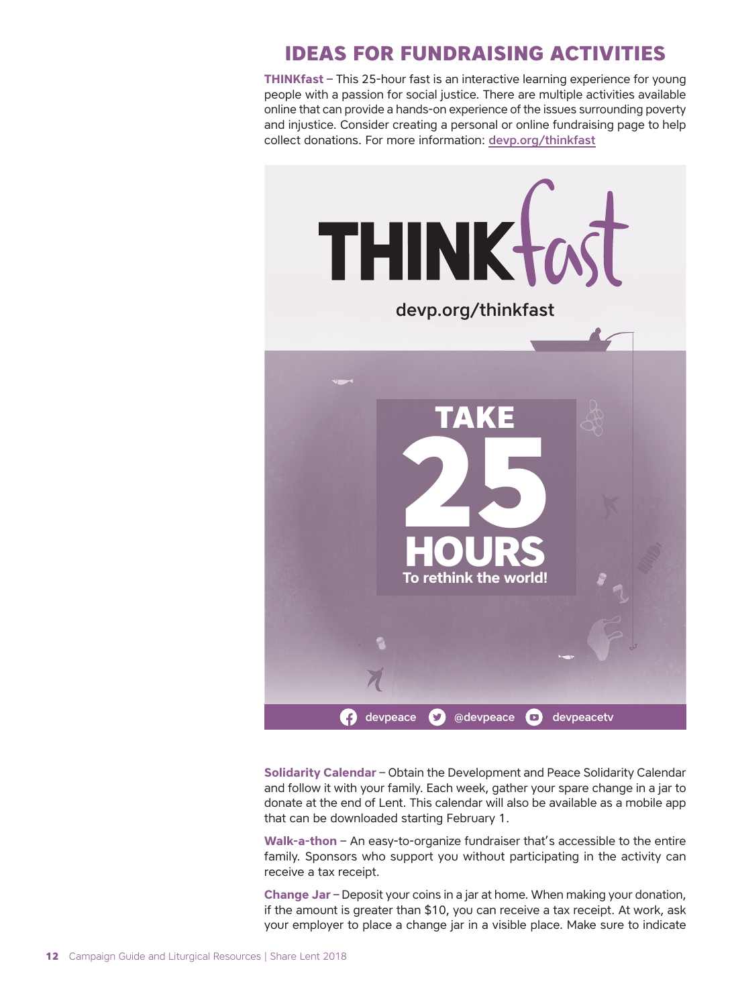# **IDEAS FOR FUNDRAISING ACTIVITIES**

**THINKfast –** This 25-hour fast is an interactive learning experience for young people with a passion for social justice. There are multiple activities available online that can provide a hands-on experience of the issues surrounding poverty and injustice. Consider creating a personal or online fundraising page to help collect donations. For more information: [devp.org/thinkfast](http://www.devp.org/thinkfast)



**Solidarity Calendar –** Obtain the Development and Peace Solidarity Calendar and follow it with your family. Each week, gather your spare change in a jar to donate at the end of Lent. This calendar will also be available as a mobile app that can be downloaded starting February 1.

**Walk-a-thon –** An easy-to-organize fundraiser that's accessible to the entire family. Sponsors who support you without participating in the activity can receive a tax receipt.

**Change Jar –** Deposit your coins in a jar at home. When making your donation, if the amount is greater than \$10, you can receive a tax receipt. At work, ask your employer to place a change jar in a visible place. Make sure to indicate